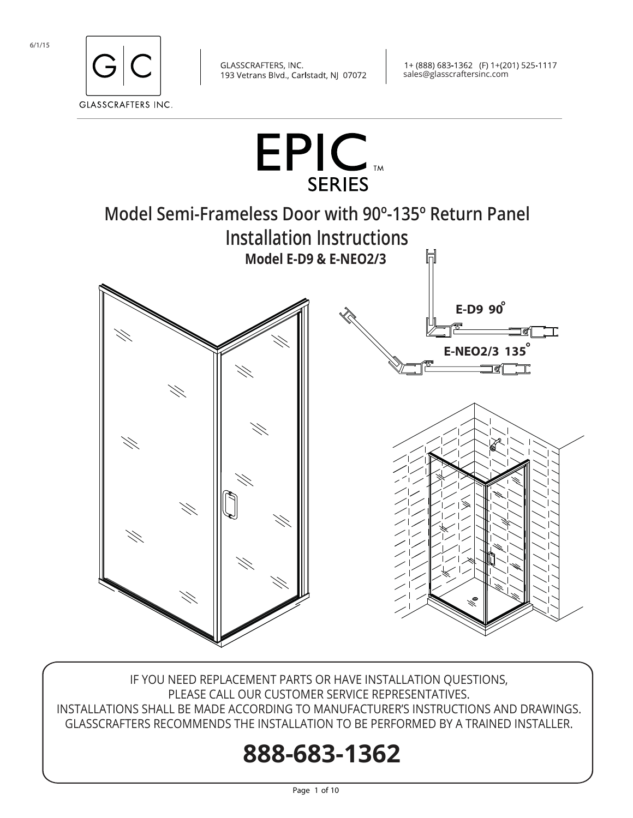



IF YOU NEED REPLACEMENT PARTS OR HAVE INSTALLATION QUESTIONS, PLEASE CALL OUR CUSTOMER SERVICE REPRESENTATIVES. INSTALLATIONS SHALL BE MADE ACCORDING TO MANUFACTURER'S INSTRUCTIONS AND DRAWINGS. GLASSCRAFTERS RECOMMENDS THE INSTALLATION TO BE PERFORMED BY A TRAINED INSTALLER.

# **888-683-1362**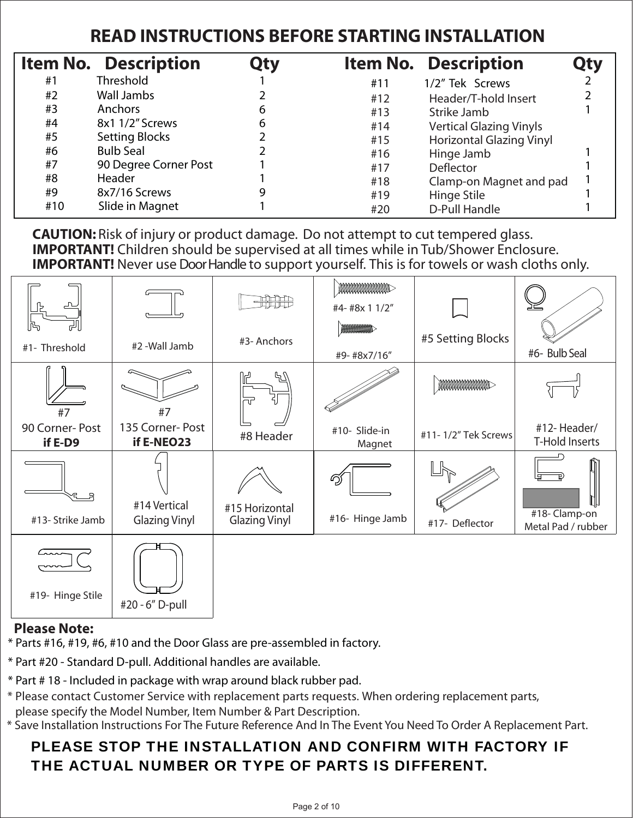## **READ INSTRUCTIONS BEFORE STARTING INSTALLATION**

|     | <b>Item No. Description</b> | Qty |     | <b>Item No. Description</b>     |  |
|-----|-----------------------------|-----|-----|---------------------------------|--|
| #1  | Threshold                   |     | #11 | 1/2" Tek Screws                 |  |
| #2  | Wall Jambs                  |     | #12 | Header/T-hold Insert            |  |
| #3  | Anchors                     | 6   | #13 | Strike Jamb                     |  |
| #4  | 8x1 1/2" Screws             | 6   | #14 | <b>Vertical Glazing Vinyls</b>  |  |
| #5  | <b>Setting Blocks</b>       |     | #15 | <b>Horizontal Glazing Vinyl</b> |  |
| #6  | <b>Bulb Seal</b>            |     | #16 | Hinge Jamb                      |  |
| #7  | 90 Degree Corner Post       |     | #17 | Deflector                       |  |
| #8  | <b>Header</b>               |     | #18 | Clamp-on Magnet and pad         |  |
| #9  | 8x7/16 Screws               |     | #19 | Hinge Stile                     |  |
| #10 | Slide in Magnet             |     | #20 | D-Pull Handle                   |  |

 **CAUTION:** Risk of injury or product damage. Do not attempt to cut tempered glass. **IMPORTANT!** Children should be supervised at all times while in Tub/Shower Enclosure. Ξ **IMPORTANT!** Never use Door Handle to support yourself. This is for towels or wash cloths only.

| <u>டி</u>                 |                               | $\frac{\text{AB}}{\text{AB}}$ | <b>MMMMMMMMM</b><br>#4- #8x 1 1/2" |                        |                                    |
|---------------------------|-------------------------------|-------------------------------|------------------------------------|------------------------|------------------------------------|
| lħ<br>#1- Threshold       | #2 -Wall Jamb                 | #3- Anchors                   | WWWWWWWW<br>#9-#8x7/16"            | #5 Setting Blocks      | #6- Bulb Seal                      |
| #7                        | #7                            | 47<br>ਹਾ                      |                                    | <b>MANAMANAMANAMAN</b> |                                    |
| 90 Corner-Post<br>if E-D9 | 135 Corner-Post<br>if E-NEO23 | #8 Header                     | #10- Slide-in<br>Magnet            | #11-1/2" Tek Screws    | #12-Header/<br>T-Hold Inserts      |
|                           | #14 Vertical                  | #15 Horizontal                | ඛු                                 |                        | Ţ                                  |
| #13- Strike Jamb          | <b>Glazing Vinyl</b>          | <b>Glazing Vinyl</b>          | #16- Hinge Jamb                    | #17- Deflector         | #18-Clamp-on<br>Metal Pad / rubber |
| #19- Hinge Stile          | #20 - 6" D-pull               |                               |                                    |                        |                                    |

### **Please Note:**

\* Parts #16, #19, #6, #10 and the Door Glass are pre-assembled in factory.

- \* Part #20 Standard D-pull. Additional handles are available.
- \* Part # 18 Included in package with wrap around black rubber pad.
- \* Please contact Customer Service with replacement parts requests. When ordering replacement parts, please specify the Model Number, Item Number & Part Description.
- \* Save Installation Instructions For The Future Reference And In The Event You Need To Order A Replacement Part.

## PLEASE STOP THE INSTALLATION AND CONFIRM WITH FACTORY IF THE ACTUAL NUMBER OR TYPE OF PARTS IS DIFFERENT.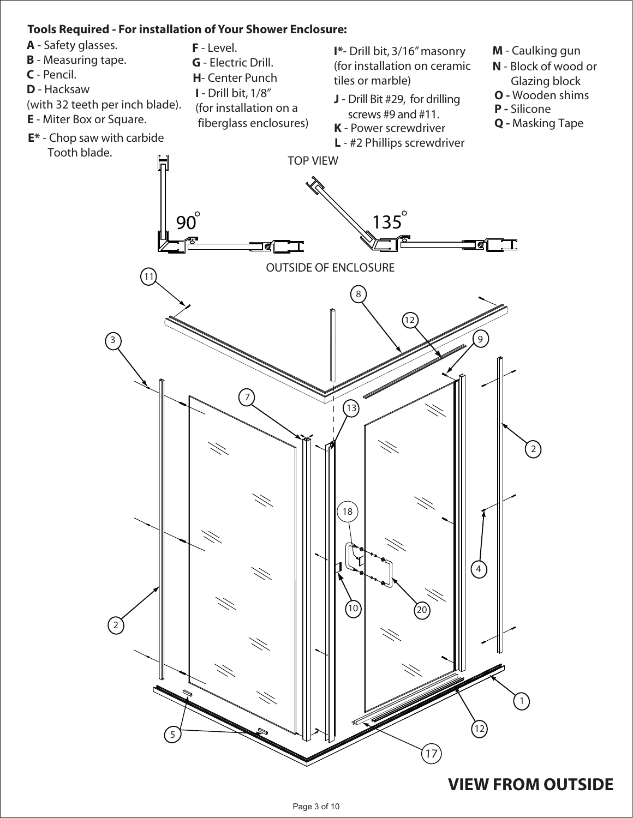

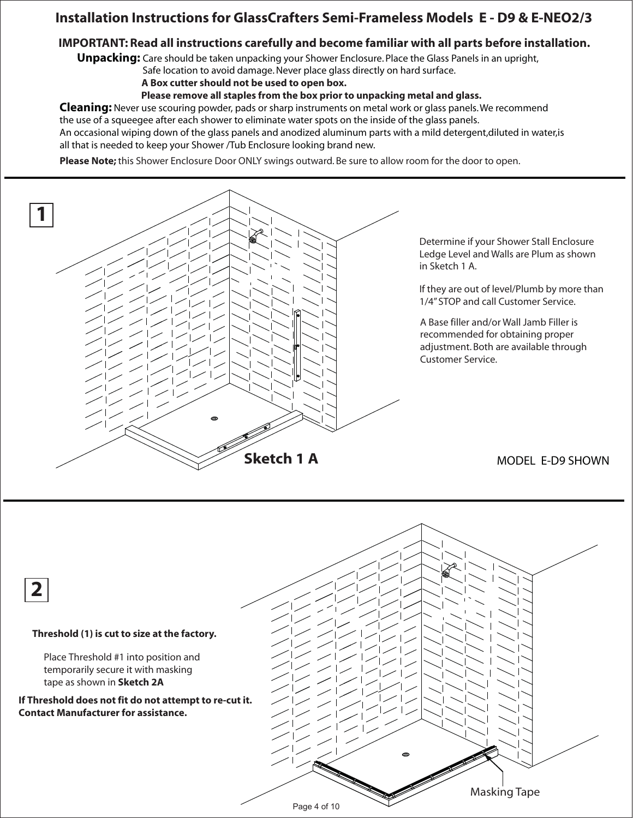### **Installation Instructions for GlassCrafters Semi-Frameless Models E - D9 & E-NEO2/3**

#### **IMPORTANT: Read all instructions carefully and become familiar with all parts before installation.**

**Unpacking:** Care should be taken unpacking your Shower Enclosure. Place the Glass Panels in an upright,

Safe location to avoid damage. Never place glass directly on hard surface.

 **A Box cutter should not be used to open box.**

 **Please remove all staples from the box prior to unpacking metal and glass.**

**Cleaning:** Never use scouring powder, pads or sharp instruments on metal work or glass panels. We recommend the use of a squeegee after each shower to eliminate water spots on the inside of the glass panels.

An occasional wiping down of the glass panels and anodized aluminum parts with a mild detergent,diluted in water,is all that is needed to keep your Shower /Tub Enclosure looking brand new.

**Please Note;** this Shower Enclosure Door ONLY swings outward. Be sure to allow room for the door to open.



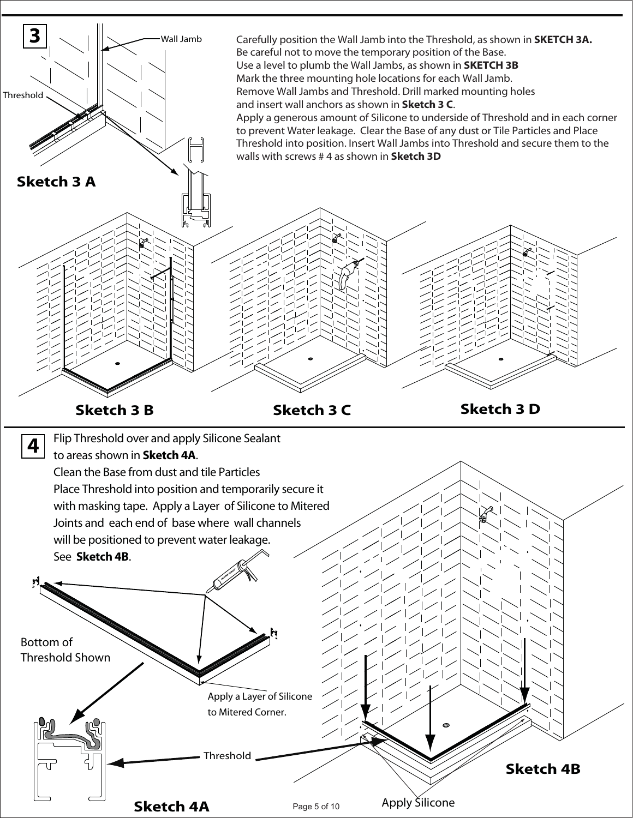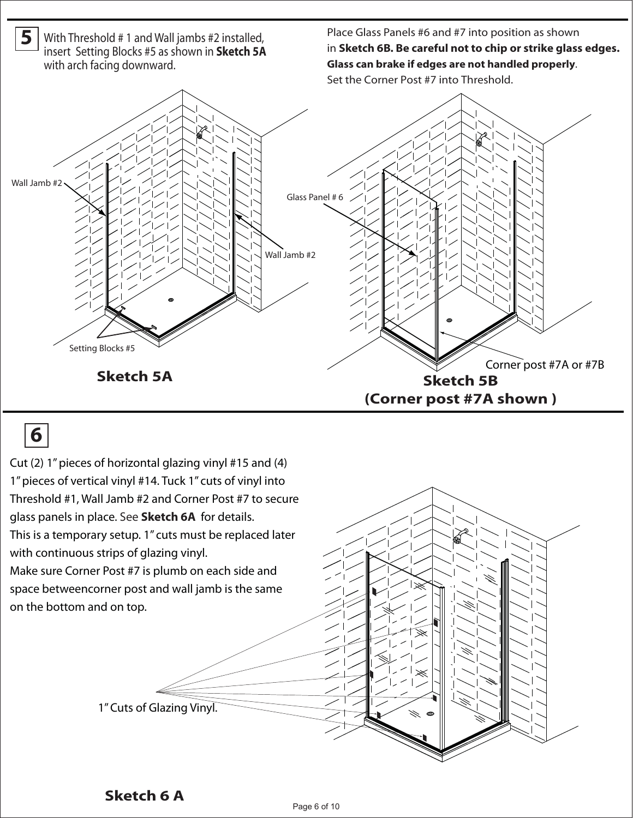

## **6**

1" Cuts of Glazing Vinyl. Cut (2) 1" pieces of horizontal glazing vinyl #15 and (4) 1" pieces of vertical vinyl #14. Tuck 1" cuts of vinyl into Threshold #1, Wall Jamb #2 and Corner Post #7 to secure glass panels in place. See **Sketch 6A** for details. This is a temporary setup. 1" cuts must be replaced later with continuous strips of glazing vinyl. Make sure Corner Post #7 is plumb on each side and space betweencorner post and wall jamb is the same on the bottom and on top.

### **Sketch 6 A**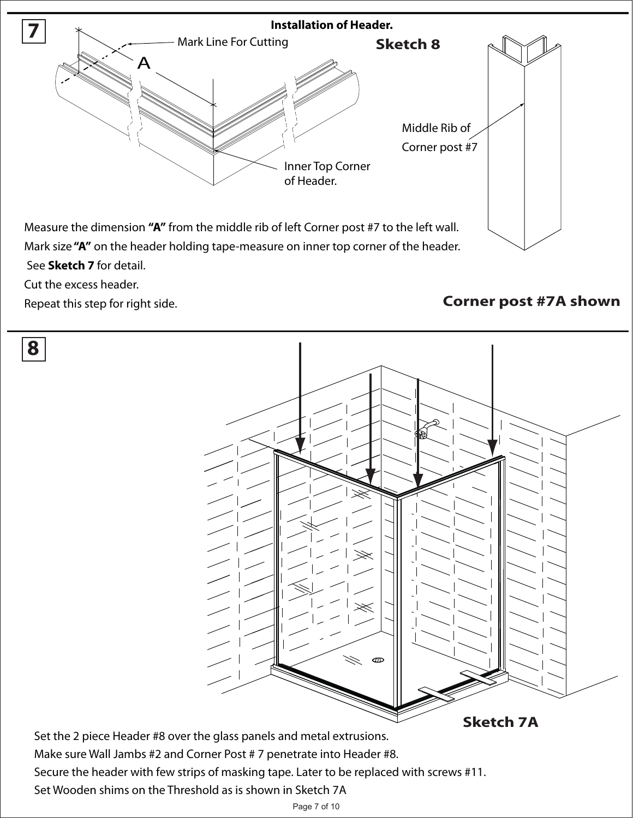

Cut the excess header.

Repeat this step for right side.

### **Corner post #7A shown**



Set the 2 piece Header #8 over the glass panels and metal extrusions. Make sure Wall Jambs #2 and Corner Post # 7 penetrate into Header #8. Secure the header with few strips of masking tape. Later to be replaced with screws #11. Set Wooden shims on the Threshold as is shown in Sketch 7A

#### Page 7 of 10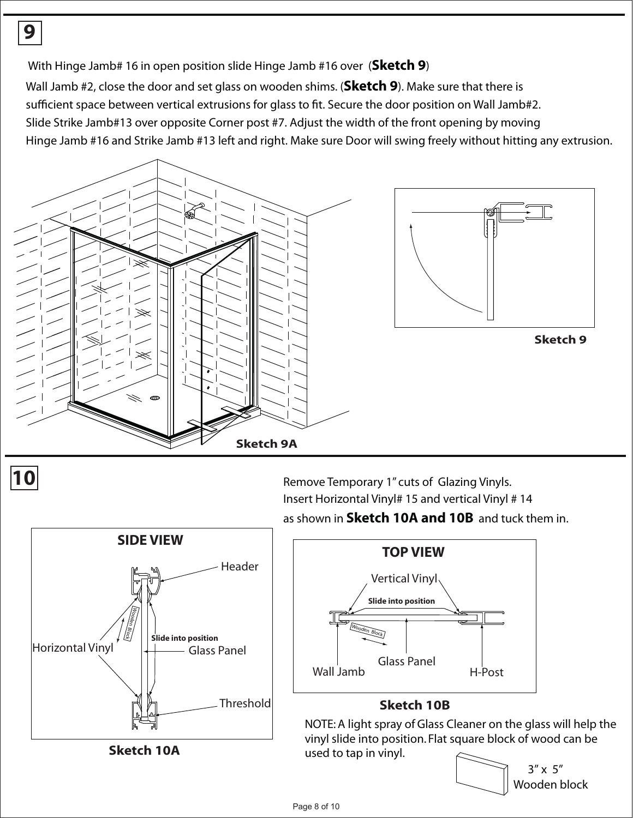With Hinge Jamb# 16 in open position slide Hinge Jamb #16 over (**Sketch 9**)

Wall Jamb #2, close the door and set glass on wooden shims. (**Sketch 9**). Make sure that there is

sufficient space between vertical extrusions for glass to fit. Secure the door position on Wall Jamb#2.

Slide Strike Jamb#13 over opposite Corner post #7. Adjust the width of the front opening by moving

Hinge Jamb #16 and Strike Jamb #13 left and right. Make sure Door will swing freely without hitting any extrusion.



**9**

**10 10 Remove Temporary 1'' cuts of Glazing Vinyls.** Insert Horizontal Vinyl# 15 and vertical Vinyl # 14 as shown in **Sketch 10A and 10B** and tuck them in.



**Sketch 10A**



### **Sketch 10B**

NOTE: A light spray of Glass Cleaner on the glass will help the vinyl slide into position. Flat square block of wood can be used to tap in vinyl.

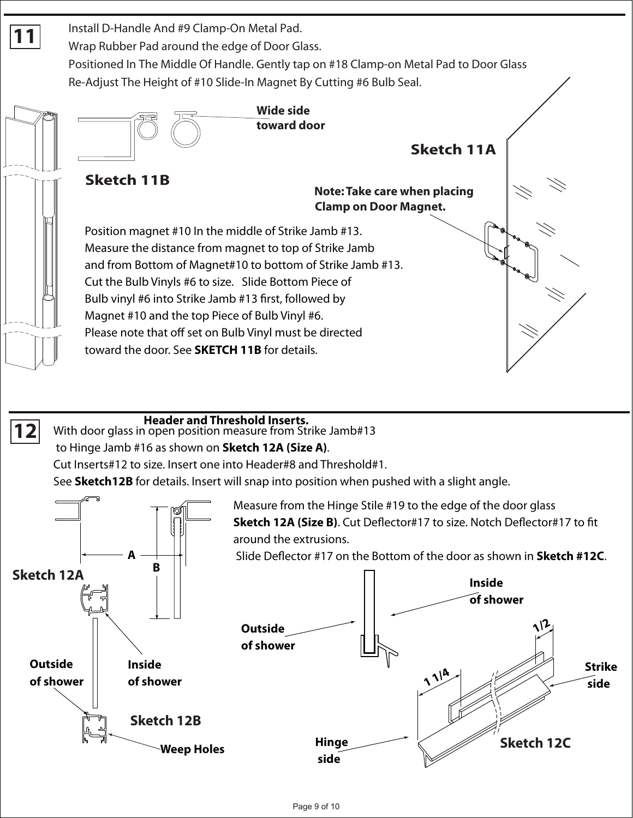

### **Header and Threshold Inserts.**

**12** With door glass in open position measure from Strike Jamb#13

to Hinge Jamb #16 as shown on **Sketch 12A (Size A)**.

Cut Inserts#12 to size. Insert one into Header#8 and Threshold#1.

See **Sketch12B** for details. Insert will snap into position when pushed with a slight angle.